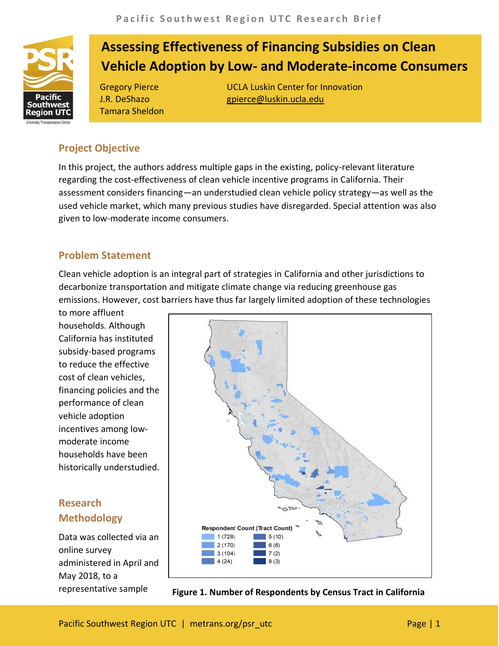

# **Assessing Effectiveness of Financing Subsidies on Clean Vehicle Adoption by Low- and Moderate-income Consumers**

J.R. DeShazo Tamara Sheldon

Gregory Pierce **UCLA Luskin Center for Innovation** gpierce@luskin.ucla.edu

## **Project Objective**

In this project, the authors address multiple gaps in the existing, policy-relevant literature regarding the cost-effectiveness of clean vehicle incentive programs in California. Their assessment considers financing—an understudied clean vehicle policy strategy—as well as the used vehicle market, which many previous studies have disregarded. Special attention was also given to low-moderate income consumers.

#### **Problem Statement**

Clean vehicle adoption is an integral part of strategies in California and other jurisdictions to decarbonize transportation and mitigate climate change via reducing greenhouse gas emissions. However, cost barriers have thus far largely limited adoption of these technologies

to more affluent households. Although California has instituted subsidy-based programs to reduce the effective cost of clean vehicles, financing policies and the performance of clean vehicle adoption incentives among lowmoderate income households have been historically understudied.

## **Research Methodology**

Data was collected via an online survey administered in April and May 2018, to a